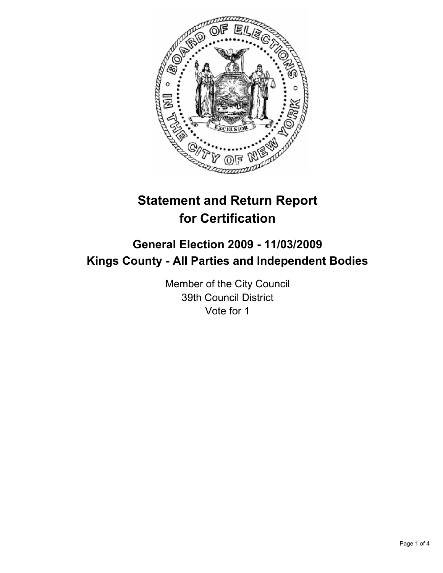

# **Statement and Return Report for Certification**

## **General Election 2009 - 11/03/2009 Kings County - All Parties and Independent Bodies**

Member of the City Council 39th Council District Vote for 1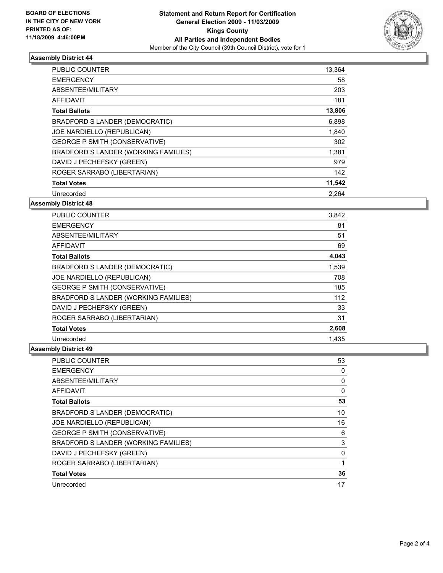

### **Assembly District 44**

| <b>PUBLIC COUNTER</b>                | 13,364 |
|--------------------------------------|--------|
| <b>EMERGENCY</b>                     | 58     |
| ABSENTEE/MILITARY                    | 203    |
| <b>AFFIDAVIT</b>                     | 181    |
| <b>Total Ballots</b>                 | 13,806 |
| BRADFORD S LANDER (DEMOCRATIC)       | 6,898  |
| JOE NARDIELLO (REPUBLICAN)           | 1,840  |
| <b>GEORGE P SMITH (CONSERVATIVE)</b> | 302    |
| BRADFORD S LANDER (WORKING FAMILIES) | 1,381  |
| DAVID J PECHEFSKY (GREEN)            | 979    |
| ROGER SARRABO (LIBERTARIAN)          | 142    |
| <b>Total Votes</b>                   | 11,542 |
| Unrecorded                           | 2.264  |

### **Assembly District 48**

| <b>PUBLIC COUNTER</b>                | 3,842 |
|--------------------------------------|-------|
| <b>EMERGENCY</b>                     | 81    |
| ABSENTEE/MILITARY                    | 51    |
| AFFIDAVIT                            | 69    |
| <b>Total Ballots</b>                 | 4,043 |
| BRADFORD S LANDER (DEMOCRATIC)       | 1,539 |
| JOE NARDIELLO (REPUBLICAN)           | 708   |
| <b>GEORGE P SMITH (CONSERVATIVE)</b> | 185   |
| BRADFORD S LANDER (WORKING FAMILIES) | 112   |
| DAVID J PECHEFSKY (GREEN)            | 33    |
| ROGER SARRABO (LIBERTARIAN)          | 31    |
| <b>Total Votes</b>                   | 2,608 |
| Unrecorded                           | 1.435 |

### **Assembly District 49**

| <b>PUBLIC COUNTER</b>                | 53           |
|--------------------------------------|--------------|
| <b>EMERGENCY</b>                     | 0            |
| ABSENTEE/MILITARY                    | $\mathbf{0}$ |
| AFFIDAVIT                            | 0            |
| <b>Total Ballots</b>                 | 53           |
| BRADFORD S LANDER (DEMOCRATIC)       | 10           |
| JOE NARDIELLO (REPUBLICAN)           | 16           |
| <b>GEORGE P SMITH (CONSERVATIVE)</b> | 6            |
| BRADFORD S LANDER (WORKING FAMILIES) | 3            |
| DAVID J PECHEFSKY (GREEN)            | 0            |
| ROGER SARRABO (LIBERTARIAN)          | 1            |
| <b>Total Votes</b>                   | 36           |
| Unrecorded                           | 17           |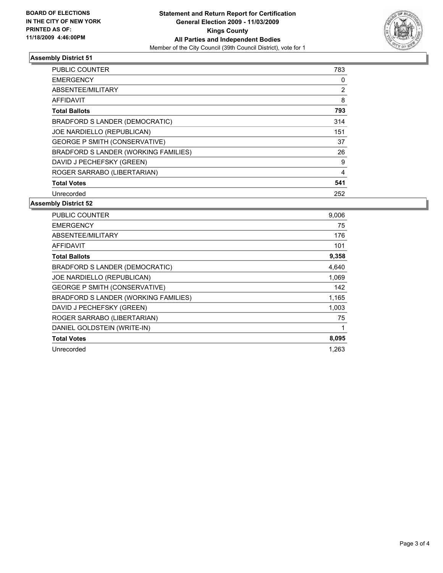

### **Assembly District 51**

| PUBLIC COUNTER                       | 783 |
|--------------------------------------|-----|
| <b>EMERGENCY</b>                     | 0   |
| ABSENTEE/MILITARY                    | 2   |
| AFFIDAVIT                            | 8   |
| <b>Total Ballots</b>                 | 793 |
| BRADFORD S LANDER (DEMOCRATIC)       | 314 |
| JOE NARDIELLO (REPUBLICAN)           | 151 |
| <b>GEORGE P SMITH (CONSERVATIVE)</b> | 37  |
| BRADFORD S LANDER (WORKING FAMILIES) | 26  |
| DAVID J PECHEFSKY (GREEN)            | 9   |
| ROGER SARRABO (LIBERTARIAN)          | 4   |
| <b>Total Votes</b>                   | 541 |
| Unrecorded                           | 252 |

### **Assembly District 52**

| <b>PUBLIC COUNTER</b>                | 9,006 |
|--------------------------------------|-------|
| <b>EMERGENCY</b>                     | 75    |
| ABSENTEE/MILITARY                    | 176   |
| <b>AFFIDAVIT</b>                     | 101   |
| <b>Total Ballots</b>                 | 9,358 |
| BRADFORD S LANDER (DEMOCRATIC)       | 4,640 |
| JOE NARDIELLO (REPUBLICAN)           | 1,069 |
| <b>GEORGE P SMITH (CONSERVATIVE)</b> | 142   |
| BRADFORD S LANDER (WORKING FAMILIES) | 1,165 |
| DAVID J PECHEFSKY (GREEN)            | 1,003 |
| ROGER SARRABO (LIBERTARIAN)          | 75    |
| DANIEL GOLDSTEIN (WRITE-IN)          | 1     |
| <b>Total Votes</b>                   | 8,095 |
| Unrecorded                           | 1.263 |